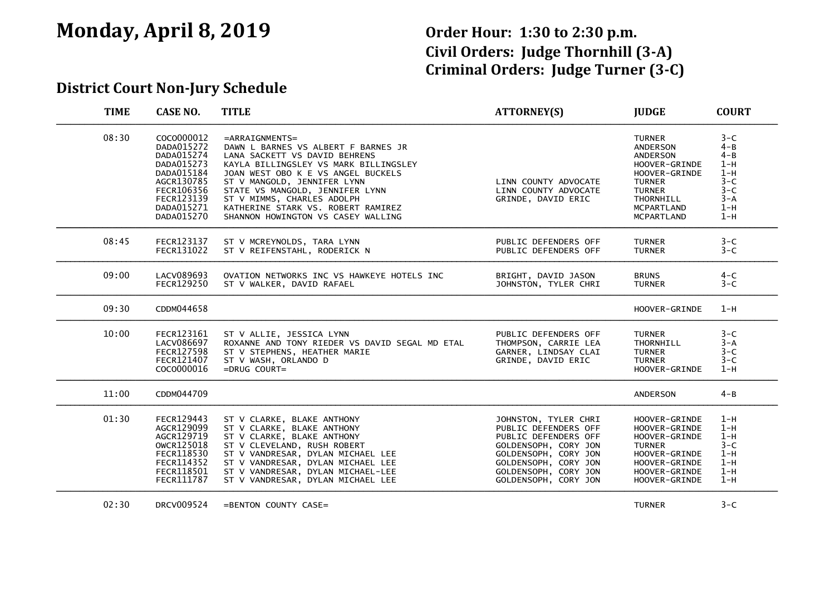## **Monday, April 8, 2019 Order Hour: 1:30 to 2:30 p.m.**

# **Civil Orders: Judge Thornhill (3-A) Criminal Orders: Judge Turner (3-C)**

#### **District Court Non-Jury Schedule**

| <b>TIME</b> | <b>CASE NO.</b>                                                                                                                          | <b>TITLE</b>                                                                                                                                                                                                                                                                                                                                         | <b>ATTORNEY(S)</b>                                                                                                                                                                           | <b>JUDGE</b>                                                                                                                                                            | <b>COURT</b>                                                                                   |
|-------------|------------------------------------------------------------------------------------------------------------------------------------------|------------------------------------------------------------------------------------------------------------------------------------------------------------------------------------------------------------------------------------------------------------------------------------------------------------------------------------------------------|----------------------------------------------------------------------------------------------------------------------------------------------------------------------------------------------|-------------------------------------------------------------------------------------------------------------------------------------------------------------------------|------------------------------------------------------------------------------------------------|
| 08:30       | COCO000012<br>DADA015272<br>DADA015274<br>DADA015273<br>DADA015184<br>AGCR130785<br>FECR106356<br>FECR123139<br>DADA015271<br>DADA015270 | $=$ ARRAIGNMENTS=<br>DAWN L BARNES VS ALBERT F BARNES JR<br>LANA SACKETT VS DAVID BEHRENS<br>KAYLA BILLINGSLEY VS MARK BILLINGSLEY<br>JOAN WEST OBO K E VS ANGEL BUCKELS<br>ST V MANGOLD, JENNIFER LYNN<br>STATE VS MANGOLD, JENNIFER LYNN<br>ST V MIMMS, CHARLES ADOLPH<br>KATHERINE STARK VS. ROBERT RAMIREZ<br>SHANNON HOWINGTON VS CASEY WALLING | LINN COUNTY ADVOCATE<br>LINN COUNTY ADVOCATE<br>GRINDE, DAVID ERIC                                                                                                                           | <b>TURNER</b><br>ANDERSON<br><b>ANDERSON</b><br>HOOVER-GRINDE<br>HOOVER-GRINDE<br><b>TURNER</b><br><b>TURNER</b><br>THORNHILL<br><b>MCPARTLAND</b><br><b>MCPARTLAND</b> | $3-C$<br>$4 - B$<br>$4 - B$<br>$1-H$<br>$1-H$<br>$3-C$<br>$3 - C$<br>$3 - A$<br>$1-H$<br>$1-H$ |
| 08:45       | FECR123137<br>FECR131022                                                                                                                 | ST V MCREYNOLDS, TARA LYNN<br>ST V REIFENSTAHL, RODERICK N                                                                                                                                                                                                                                                                                           | PUBLIC DEFENDERS OFF<br>PUBLIC DEFENDERS OFF                                                                                                                                                 | <b>TURNER</b><br><b>TURNER</b>                                                                                                                                          | $3-C$<br>$3-C$                                                                                 |
| 09:00       | LACV089693<br>FECR129250                                                                                                                 | OVATION NETWORKS INC VS HAWKEYE HOTELS INC<br>ST V WALKER, DAVID RAFAEL                                                                                                                                                                                                                                                                              | BRIGHT, DAVID JASON<br>JOHNSTON, TYLER CHRI                                                                                                                                                  | <b>BRUNS</b><br><b>TURNER</b>                                                                                                                                           | $4 - C$<br>$3 - C$                                                                             |
| 09:30       | CDDM044658                                                                                                                               |                                                                                                                                                                                                                                                                                                                                                      |                                                                                                                                                                                              | HOOVER-GRINDE                                                                                                                                                           | $1-H$                                                                                          |
| 10:00       | FECR123161<br>LACV086697<br><b>FECR127598</b><br>FECR121407<br>COCO000016                                                                | ST V ALLIE, JESSICA LYNN<br>ROXANNE AND TONY RIEDER VS DAVID SEGAL MD ETAL<br>ST V STEPHENS, HEATHER MARIE<br>ST V WASH, ORLANDO D<br>$=DRUG$ COURT=                                                                                                                                                                                                 | PUBLIC DEFENDERS OFF<br>THOMPSON, CARRIE LEA<br>GARNER, LINDSAY CLAI<br>GRINDE, DAVID ERIC                                                                                                   | <b>TURNER</b><br>THORNHILL<br><b>TURNER</b><br><b>TURNER</b><br>HOOVER-GRINDE                                                                                           | $3-C$<br>$3 - A$<br>$3 - C$<br>$3-C$<br>$1-H$                                                  |
| 11:00       | CDDM044709                                                                                                                               |                                                                                                                                                                                                                                                                                                                                                      |                                                                                                                                                                                              | <b>ANDERSON</b>                                                                                                                                                         | $4 - B$                                                                                        |
| 01:30       | FECR129443<br>AGCR129099<br>AGCR129719<br>OWCR125018<br>FECR118530<br>FECR114352<br>FECR118501<br>FECR111787                             | ST V CLARKE, BLAKE ANTHONY<br>ST V CLARKE, BLAKE ANTHONY<br>ST V CLARKE, BLAKE ANTHONY<br>ST V CLEVELAND, RUSH ROBERT<br>ST V VANDRESAR, DYLAN MICHAEL LEE<br>ST V VANDRESAR, DYLAN MICHAEL LEE<br>ST V VANDRESAR, DYLAN MICHAEL-LEE<br>ST V VANDRESAR, DYLAN MICHAEL LEE                                                                            | JOHNSTON, TYLER CHRI<br>PUBLIC DEFENDERS OFF<br>PUBLIC DEFENDERS OFF<br>GOLDENSOPH, CORY JON<br>GOLDENSOPH, CORY JON<br>GOLDENSOPH, CORY JON<br>GOLDENSOPH, CORY JON<br>GOLDENSOPH, CORY JON | HOOVER-GRINDE<br>HOOVER-GRINDE<br>HOOVER-GRINDE<br><b>TURNER</b><br>HOOVER-GRINDE<br>HOOVER-GRINDE<br>HOOVER-GRINDE<br>HOOVER-GRINDE                                    | $1-H$<br>$1-H$<br>$1-H$<br>$3-C$<br>$1-H$<br>$1-H$<br>$1-H$<br>$1-H$                           |
| 02:30       | DRCV009524                                                                                                                               | =BENTON COUNTY CASE=                                                                                                                                                                                                                                                                                                                                 |                                                                                                                                                                                              | <b>TURNER</b>                                                                                                                                                           | $3 - C$                                                                                        |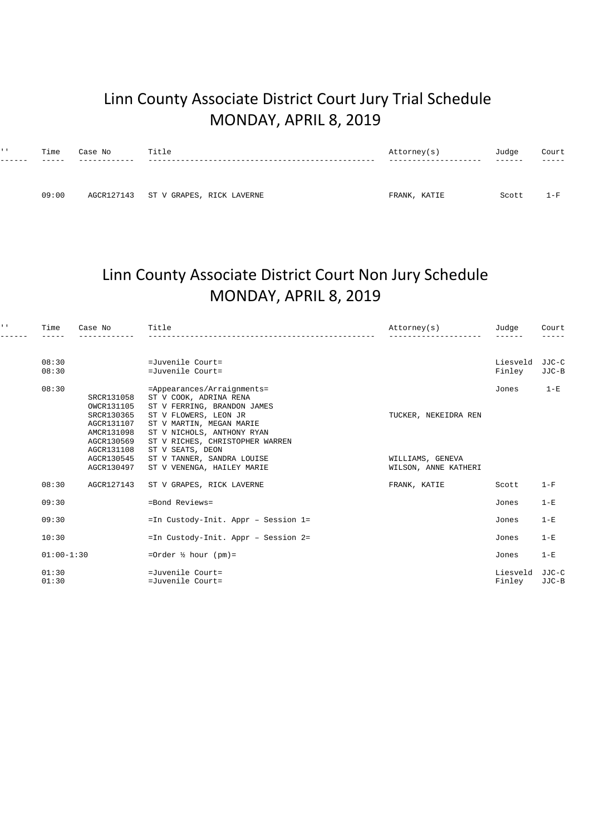## Linn County Associate District Court Jury Trial Schedule MONDAY, APRIL 8, 2019

| $1 - 1$ | Time  | Case No | Title                                | Attorney(s)  | Judge | Court |
|---------|-------|---------|--------------------------------------|--------------|-------|-------|
|         |       |         |                                      |              |       |       |
|         |       |         |                                      |              |       |       |
|         | 09:00 |         | AGCR127143 ST V GRAPES, RICK LAVERNE | FRANK, KATIE | Scott | $1-F$ |

## Linn County Associate District Court Non Jury Schedule MONDAY, APRIL 8, 2019

| $1 - 1$ | Time           | Case No    | Title                               | Attorney(s)          | Judge    | Court<br>----- |
|---------|----------------|------------|-------------------------------------|----------------------|----------|----------------|
|         |                |            |                                     |                      |          |                |
|         | 08:30          |            | =Juvenile Court=                    |                      | Liesveld | JJC-C          |
|         | 08:30          |            | =Juvenile Court=                    |                      | Finley   | JJC-B          |
|         | 08:30          |            | =Appearances/Arraignments=          |                      | Jones    | $1-E$          |
|         |                | SRCR131058 | ST V COOK, ADRINA RENA              |                      |          |                |
|         |                | OWCR131105 | ST V FERRING, BRANDON JAMES         |                      |          |                |
|         |                | SRCR130365 | ST V FLOWERS, LEON JR               | TUCKER, NEKEIDRA REN |          |                |
|         |                | AGCR131107 | ST V MARTIN, MEGAN MARIE            |                      |          |                |
|         |                | AMCR131098 | ST V NICHOLS, ANTHONY RYAN          |                      |          |                |
|         |                | AGCR130569 | ST V RICHES, CHRISTOPHER WARREN     |                      |          |                |
|         |                | AGCR131108 | ST V SEATS, DEON                    |                      |          |                |
|         |                | AGCR130545 | ST V TANNER, SANDRA LOUISE          | WILLIAMS, GENEVA     |          |                |
|         |                | AGCR130497 | ST V VENENGA, HAILEY MARIE          | WILSON, ANNE KATHERI |          |                |
|         | 08:30          | AGCR127143 | ST V GRAPES, RICK LAVERNE           | FRANK, KATIE         | Scott    | $1-F$          |
|         | 09:30          |            | =Bond Reviews=                      |                      | Jones    | $1-E$          |
|         | 09:30          |            | =In Custody-Init. Appr - Session 1= |                      | Jones    | $1-E$          |
|         | 10:30          |            | =In Custody-Init. Appr - Session 2= |                      | Jones    | $1-E$          |
|         | $01:00 - 1:30$ |            | =Order $\frac{1}{2}$ hour (pm)=     |                      | Jones    | $1-E$          |
|         | 01:30          |            | $=Juyenile Court=$                  |                      | Liesveld | JJC-C          |
|         | 01:30          |            | =Juvenile Court=                    |                      | Finley   | JJC-B          |
|         |                |            |                                     |                      |          |                |